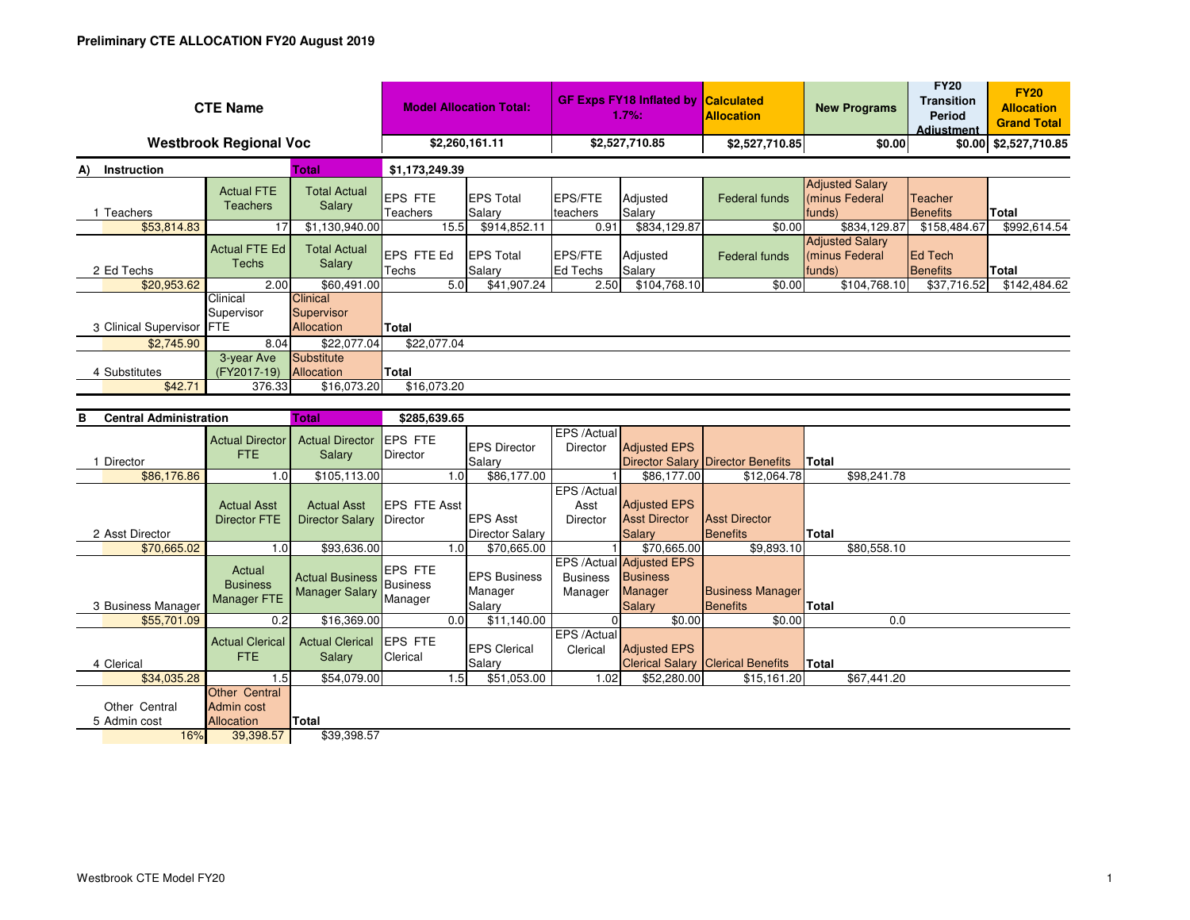| <b>CTE Name</b>                      | <b>Model Allocation Total:</b>                  |                                                 | <b>GF Exps FY18 Inflated by</b><br>$1.7%$ : |                                           | <b>Calculated</b><br><b>Allocation</b> | <b>New Programs</b>                                                     | <b>FY20</b><br><b>Transition</b><br>Period<br><b>Adiustment</b> | <b>FY20</b><br><b>Allocation</b><br><b>Grand Total</b> |                            |              |
|--------------------------------------|-------------------------------------------------|-------------------------------------------------|---------------------------------------------|-------------------------------------------|----------------------------------------|-------------------------------------------------------------------------|-----------------------------------------------------------------|--------------------------------------------------------|----------------------------|--------------|
| <b>Westbrook Regional Voc</b>        | \$2,260,161.11                                  |                                                 | \$2,527,710.85                              |                                           | \$2,527,710.85                         | \$0.00                                                                  |                                                                 | \$0.00 \$2,527,710.85                                  |                            |              |
| Instruction<br>Total<br>A)           |                                                 |                                                 | \$1,173,249.39                              |                                           |                                        |                                                                         |                                                                 |                                                        |                            |              |
| 1 Teachers                           | <b>Actual FTE</b><br><b>Teachers</b>            | <b>Total Actual</b><br>Salary                   | EPS FTE<br>Teachers                         | <b>EPS Total</b><br>Salary                | <b>EPS/FTE</b><br>teachers             | Adjusted<br>Salary                                                      | <b>Federal funds</b>                                            | <b>Adjusted Salary</b><br>(minus Federal<br>funds)     | Teacher<br><b>Benefits</b> | <b>Total</b> |
| \$53,814.83                          | 17                                              | \$1,130,940.00                                  | 15.5                                        | \$914,852.11                              | 0.91                                   | \$834,129.87                                                            | \$0.00                                                          | \$834,129.87                                           | \$158,484.67               | \$992,614.54 |
| 2 Ed Techs                           | <b>Actual FTE Ed</b><br><b>Techs</b>            | <b>Total Actual</b><br>Salary                   | EPS FTE Ed<br>Techs                         | <b>EPS Total</b><br>Salary                | EPS/FTE<br>Ed Techs                    | Adjusted<br>Salary                                                      | Federal funds                                                   | <b>Adjusted Salary</b><br>(minus Federal<br>funds)     | Ed Tech<br><b>Benefits</b> | <b>Total</b> |
| \$20,953.62                          | 2.00                                            | \$60,491.00                                     | 5.0                                         | \$41,907.24                               | 2.50                                   | \$104,768.10                                                            | \$0.00                                                          | \$104,768.10                                           | \$37,716.52                | \$142,484.62 |
| 3 Clinical Supervisor FTE            | Clinical<br>Supervisor                          | Clinical<br>Supervisor<br>Allocation            | Total                                       |                                           |                                        |                                                                         |                                                                 |                                                        |                            |              |
| \$2,745.90                           | 8.04                                            | \$22,077.04                                     | \$22,077.04                                 |                                           |                                        |                                                                         |                                                                 |                                                        |                            |              |
| 4 Substitutes                        | 3-year Ave<br>(FY2017-19)                       | Substitute<br>Allocation                        | Total                                       |                                           |                                        |                                                                         |                                                                 |                                                        |                            |              |
| \$42.71                              | 376.33                                          | \$16,073.20                                     | \$16,073.20                                 |                                           |                                        |                                                                         |                                                                 |                                                        |                            |              |
|                                      |                                                 |                                                 |                                             |                                           |                                        |                                                                         |                                                                 |                                                        |                            |              |
| <b>Central Administration</b><br>в   |                                                 | <b>Total</b>                                    | \$285,639.65                                |                                           |                                        |                                                                         |                                                                 |                                                        |                            |              |
| 1 Director                           | <b>Actual Director</b><br><b>FTE</b>            | <b>Actual Director</b><br>Salary                | EPS FTE<br>Director                         | <b>EPS Director</b><br>Salary             | EPS / Actual<br><b>Director</b>        | <b>Adjusted EPS</b>                                                     | <b>Director Salary Director Benefits</b>                        | Total                                                  |                            |              |
| \$86,176.86                          | 1.0                                             | \$105,113.00                                    | 1.0                                         | \$86,177.00                               | $\mathbf{1}$                           | \$86,177.00                                                             | \$12,064.78                                                     | \$98,241.78                                            |                            |              |
| 2 Asst Director                      | <b>Actual Asst</b><br><b>Director FTE</b>       | <b>Actual Asst</b><br><b>Director Salary</b>    | EPS FTE Asst<br>Director                    | <b>EPS Asst</b><br><b>Director Salary</b> | EPS /Actual<br>Asst<br>Director        | <b>Adjusted EPS</b><br><b>Asst Director</b><br>Salary                   | <b>Asst Director</b><br><b>Benefits</b>                         | <b>Total</b>                                           |                            |              |
| \$70,665.02                          | 1.0                                             | \$93,636.00                                     | 1.0                                         | \$70,665.00                               |                                        | \$70,665.00                                                             | \$9.893.10                                                      | \$80,558.10                                            |                            |              |
| 3 Business Manager                   | Actual<br><b>Business</b><br><b>Manager FTE</b> | <b>Actual Business</b><br><b>Manager Salary</b> | EPS FTE<br><b>Business</b><br>Manager       | <b>EPS Business</b><br>Manager<br>Salary  | <b>Business</b><br>Manager             | <b>EPS /Actual Adjusted EPS</b><br><b>Business</b><br>Manager<br>Salary | <b>Business Manager</b><br><b>Benefits</b>                      | <b>Total</b>                                           |                            |              |
| \$55,701.09                          | 0.2                                             | \$16,369.00                                     | 0.0                                         | \$11,140.00                               | $\Omega$                               | \$0.00                                                                  | \$0.00                                                          | 0.0                                                    |                            |              |
| 4 Clerical                           | <b>Actual Clerical</b><br><b>FTE</b>            | <b>Actual Clerical</b><br>Salary                | EPS FTE<br>Clerical                         | <b>EPS Clerical</b><br>Salary             | EPS /Actual<br>Clerical                | <b>Adjusted EPS</b><br><b>Clerical Salary</b>                           | <b>Clerical Benefits</b>                                        | Total                                                  |                            |              |
| \$34,035.28                          | 1.5<br><b>Other Central</b>                     | \$54,079.00                                     | 1.5                                         | \$51,053.00                               | 1.02                                   | \$52,280.00                                                             | \$15,161.20                                                     | \$67,441.20                                            |                            |              |
| Other Central<br>5 Admin cost<br>16% | <b>Admin cost</b><br>Allocation<br>39,398.57    | Total<br>\$39,398.57                            |                                             |                                           |                                        |                                                                         |                                                                 |                                                        |                            |              |